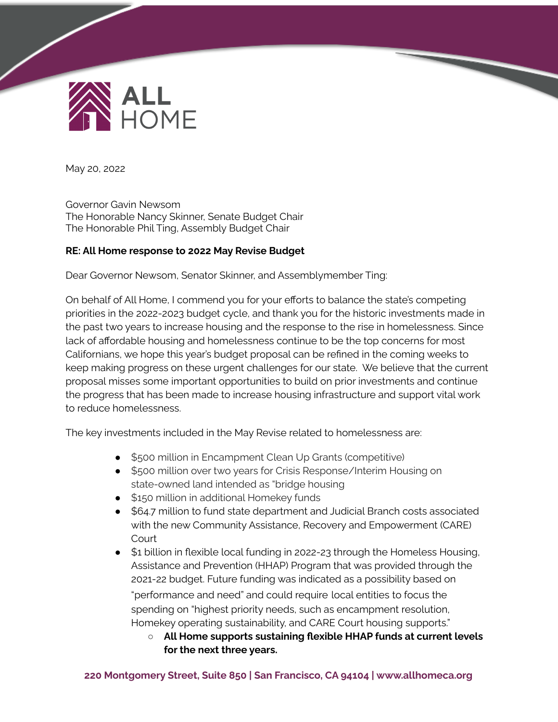

May 20, 2022

Governor Gavin Newsom The Honorable Nancy Skinner, Senate Budget Chair The Honorable Phil Ting, Assembly Budget Chair

## **RE: All Home response to 2022 May Revise Budget**

Dear Governor Newsom, Senator Skinner, and Assemblymember Ting:

On behalf of All Home, I commend you for your efforts to balance the state's competing priorities in the 2022-2023 budget cycle, and thank you for the historic investments made in the past two years to increase housing and the response to the rise in homelessness. Since lack of affordable housing and homelessness continue to be the top concerns for most Californians, we hope this year's budget proposal can be refined in the coming weeks to keep making progress on these urgent challenges for our state. We believe that the current proposal misses some important opportunities to build on prior investments and continue the progress that has been made to increase housing infrastructure and support vital work to reduce homelessness.

The key investments included in the May Revise related to homelessness are:

- \$500 million in Encampment Clean Up Grants (competitive)
- \$500 million over two years for Crisis Response/Interim Housing on state-owned land intended as "bridge housing
- \$150 million in additional Homekey funds
- \$64.7 million to fund state department and Judicial Branch costs associated with the new Community Assistance, Recovery and Empowerment (CARE) **Court**
- \$1 billion in flexible local funding in 2022-23 through the Homeless Housing, Assistance and Prevention (HHAP) Program that was provided through the 2021-22 budget. Future funding was indicated as a possibility based on "performance and need" and could require local entities to focus the spending on "highest priority needs, such as encampment resolution, Homekey operating sustainability, and CARE Court housing supports."
	- **All Home supports sustaining flexible HHAP funds at current levels for the next three years.**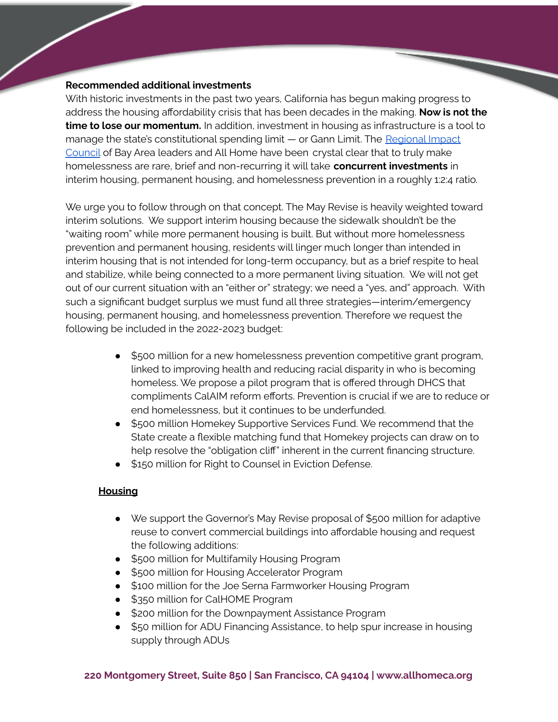## **Recommended additional investments**

With historic investments in the past two years, California has begun making progress to address the housing affordability crisis that has been decades in the making. **Now is not the time to lose our momentum.** In addition, investment in housing as infrastructure is a tool to manage the state's constitutional spending limit — or Gann Limit. The [Regional](https://www.allhomeca.org/wp-content/uploads/2022/04/April-2022-RIC-Roster.pdf) Impact [Council](https://www.allhomeca.org/wp-content/uploads/2022/04/April-2022-RIC-Roster.pdf) of Bay Area leaders and All Home have been crystal clear that to truly make homelessness are rare, brief and non-recurring it will take **concurrent investments** in interim housing, permanent housing, and homelessness prevention in a roughly 1:2:4 ratio.

We urge you to follow through on that concept. The May Revise is heavily weighted toward interim solutions. We support interim housing because the sidewalk shouldn't be the "waiting room" while more permanent housing is built. But without more homelessness prevention and permanent housing, residents will linger much longer than intended in interim housing that is not intended for long-term occupancy, but as a brief respite to heal and stabilize, while being connected to a more permanent living situation. We will not get out of our current situation with an "either or" strategy; we need a "yes, and" approach. With such a significant budget surplus we must fund all three strategies—interim/emergency housing, permanent housing, and homelessness prevention. Therefore we request the following be included in the 2022-2023 budget:

- \$500 million for a new homelessness prevention competitive grant program, linked to improving health and reducing racial disparity in who is becoming homeless. We propose a pilot program that is offered through DHCS that compliments CalAIM reform efforts. Prevention is crucial if we are to reduce or end homelessness, but it continues to be underfunded.
- \$500 million Homekey Supportive Services Fund. We recommend that the State create a flexible matching fund that Homekey projects can draw on to help resolve the "obligation cliff" inherent in the current financing structure.
- \$150 million for Right to Counsel in Eviction Defense.

## **Housing**

- **●** We support the Governor's May Revise proposal of \$500 million for adaptive reuse to convert commercial buildings into affordable housing and request the following additions:
- \$500 million for [Multifamily](https://www.hcd.ca.gov/multifamily-housing) Housing Program
- \$500 million for Housing [Accelerator](https://accelerator.hcd.ca.gov/) Program
- \$100 million for the Joe Serna [Farmworker](https://www.hcd.ca.gov/joe-serna-jr-farmworker-housing-grant) Housing Program
- \$350 million for [CalHOME](https://www.hcd.ca.gov/calhome) Program
- \$200 million for the [Downpayment](https://www.calhfa.ca.gov/homebuyer/programs/myhome.htm) Assistance Program
- \$50 million for ADU Financing [Assistance](https://www.calhfa.ca.gov/adu/), to help spur increase in housing supply through ADUs